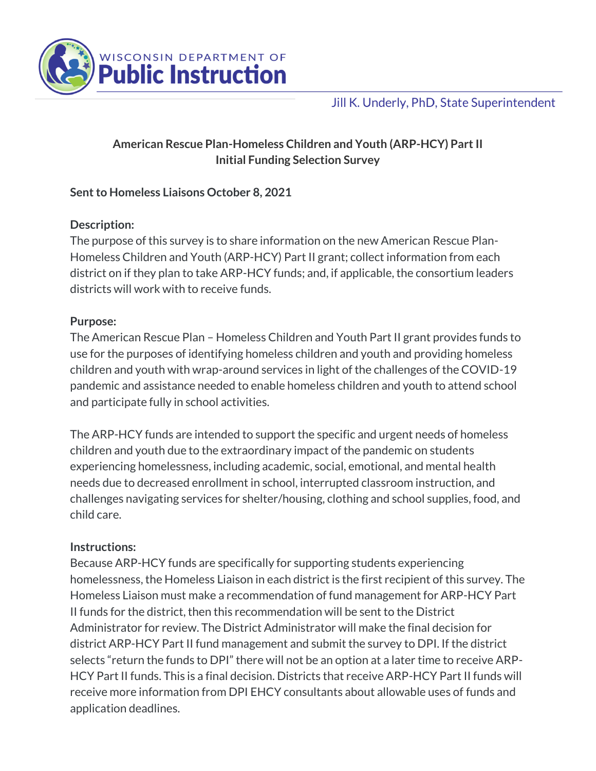

Jill K. Underly, PhD, State Superintendent

# **American Rescue Plan-Homeless Children and Youth (ARP-HCY) Part II Initial Funding Selection Survey**

## **Sent to Homeless Liaisons October 8, 2021**

### **Description:**

The purpose of this survey is to share information on the new American Rescue Plan-Homeless Children and Youth (ARP-HCY) Part II grant; collect information from each district on if they plan to take ARP-HCY funds; and, if applicable, the consortium leaders districts will work with to receive funds.

### **Purpose:**

The American Rescue Plan – Homeless Children and Youth Part II grant provides funds to use for the purposes of identifying homeless children and youth and providing homeless children and youth with wrap-around services in light of the challenges of the COVID-19 pandemic and assistance needed to enable homeless children and youth to attend school and participate fully in school activities.

The ARP-HCY funds are intended to support the specific and urgent needs of homeless children and youth due to the extraordinary impact of the pandemic on students experiencing homelessness, including academic, social, emotional, and mental health needs due to decreased enrollment in school, interrupted classroom instruction, and challenges navigating services for shelter/housing, clothing and school supplies, food, and child care.

### **Instructions:**

Because ARP-HCY funds are specifically for supporting students experiencing homelessness, the Homeless Liaison in each district is the first recipient of this survey. The Homeless Liaison must make a recommendation of fund management for ARP-HCY Part II funds for the district, then this recommendation will be sent to the District Administrator for review. The District Administrator will make the final decision for district ARP-HCY Part II fund management and submit the survey to DPI. If the district selects "return the funds to DPI" there will not be an option at a later time to receive ARP-HCY Part II funds. This is a final decision. Districts that receive ARP-HCY Part II funds will receive more information from DPI EHCY consultants about allowable uses of funds and application deadlines.